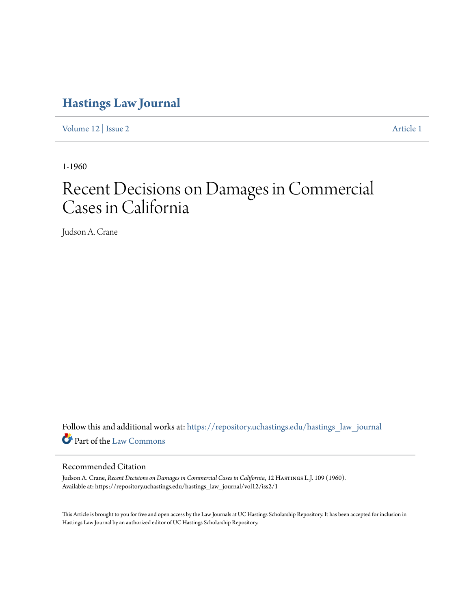# **[Hastings Law Journal](https://repository.uchastings.edu/hastings_law_journal?utm_source=repository.uchastings.edu%2Fhastings_law_journal%2Fvol12%2Fiss2%2F1&utm_medium=PDF&utm_campaign=PDFCoverPages)**

[Volume 12](https://repository.uchastings.edu/hastings_law_journal/vol12?utm_source=repository.uchastings.edu%2Fhastings_law_journal%2Fvol12%2Fiss2%2F1&utm_medium=PDF&utm_campaign=PDFCoverPages) | [Issue 2](https://repository.uchastings.edu/hastings_law_journal/vol12/iss2?utm_source=repository.uchastings.edu%2Fhastings_law_journal%2Fvol12%2Fiss2%2F1&utm_medium=PDF&utm_campaign=PDFCoverPages) [Article 1](https://repository.uchastings.edu/hastings_law_journal/vol12/iss2/1?utm_source=repository.uchastings.edu%2Fhastings_law_journal%2Fvol12%2Fiss2%2F1&utm_medium=PDF&utm_campaign=PDFCoverPages)

1-1960

# Recent Decisions on Damages in Commercial Cases in California

Judson A. Crane

Follow this and additional works at: [https://repository.uchastings.edu/hastings\\_law\\_journal](https://repository.uchastings.edu/hastings_law_journal?utm_source=repository.uchastings.edu%2Fhastings_law_journal%2Fvol12%2Fiss2%2F1&utm_medium=PDF&utm_campaign=PDFCoverPages) Part of the [Law Commons](http://network.bepress.com/hgg/discipline/578?utm_source=repository.uchastings.edu%2Fhastings_law_journal%2Fvol12%2Fiss2%2F1&utm_medium=PDF&utm_campaign=PDFCoverPages)

# Recommended Citation

Judson A. Crane, *Recent Decisions on Damages in Commercial Cases in California*, 12 Hastings L.J. 109 (1960). Available at: https://repository.uchastings.edu/hastings\_law\_journal/vol12/iss2/1

This Article is brought to you for free and open access by the Law Journals at UC Hastings Scholarship Repository. It has been accepted for inclusion in Hastings Law Journal by an authorized editor of UC Hastings Scholarship Repository.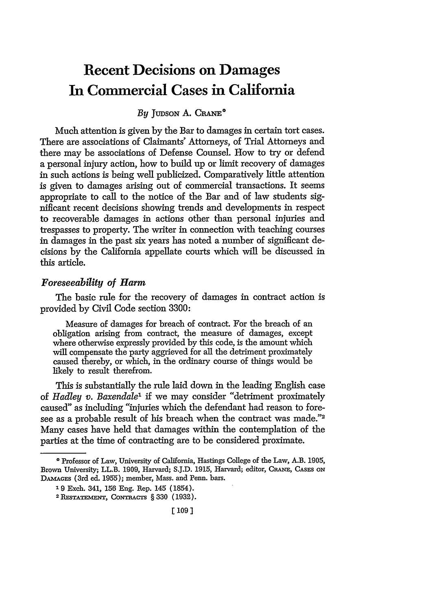# **Recent Decisions on Damages In Commercial Cases in California**

# *By* **JUDSON** A. **CRANE\***

Much attention is given by the Bar to damages in certain tort cases. There are associations of Claimants' Attorneys, of Trial Attorneys and there may be associations of Defense Counsel. **How** to try or defend a personal injury action, how to build up or limit recovery of damages in such actions is being well publicized. Comparatively little attention is given to damages arising out of commercial transactions. It seems appropriate to call to the notice of the Bar and of law students significant recent decisions showing trends and developments in respect to recoverable damages in actions other than personal injuries and trespasses to property. The writer in connection with teaching courses in damages in the past six years has noted a number of significant decisions by the California appellate courts which wil be discussed in this article.

# *Foreseeability of Harm*

The basic rule for the recovery of damages in contract action is provided by Civil Code section 3300:

Measure of damages for breach of contract. For the breach of an obligation arising from contract, the measure of damages, except where otherwise expressly provided by this code, is the amount which will compensate the party aggrieved for all the detriment proximately caused thereby, or which, in the ordinary course of things would be likely to result therefrom.

This is substantially the rule laid down in the leading English case of *Hadley v. Baxendale1* if we may consider "detriment proximately caused" as including "injuries which the defendant had reason to foresee as a probable result of his breach when the contract was made."<sup>2</sup> Many cases have held that damages within the contemplation of the parties at the time of contracting are to be considered proximate.

**<sup>\*</sup>** Professor of Law, University of California, Hastings College of the Law, A.B. 1905, Brown University; LL.B. 1909, Harvard; S.J.D. 1915, Harvard; editor, **CRaNE,** CASES **ON** DAmAGEs (3rd ed. 1955); member, Mass. and Penn. bars.

<sup>1 9</sup> Exch. 341, **156** Eng. Rep. 145 (1854).

<sup>&</sup>lt;sup>2</sup> RESTATEMENT, CONTRACTS § 330 (1932).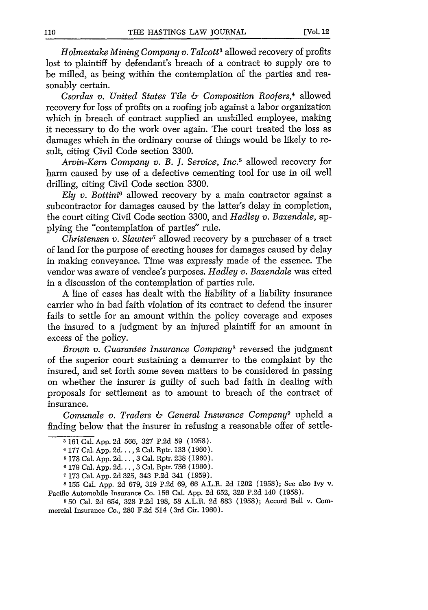*Holmestake Mining Company v. Talcott3* allowed recovery of profits lost to plaintiff by defendant's breach of a contract to supply ore to be milled, as being within the contemplation of the parties and reasonably certain.

*Csordas v. United States Tile & Composition Roofers,4* allowed recovery for loss of profits on a roofing job against a labor organization which in breach of contract supplied an unskilled employee, making it necessary to do the work over again. The court treated the loss as damages which in the ordinary course of things would be likely to result, citing Civil Code section 3300.

*Arvin-Kern Company v. B. J. Service, Inc.5* allowed recovery for harm caused by use of a defective cementing tool for use in oil well drilling, citing Civil Code section 3300.

*Ely v. Bottini6* allowed recovery by a main contractor against a subcontractor for damages caused by the latter's delay in completion, the court citing Civil Code section 3300, and *Hadley v. Baxendale,* applying the "contemplation of parties" rule.

*Christensen v. Slawter7* allowed recovery by a purchaser of a tract of land for the purpose of erecting houses for damages caused by delay in making conveyance. Time was expressly made of the essence. The vendor was aware of vendee's purposes. *Hadley v. Baxendale* was cited in a discussion of the contemplation of parties rule.

A line of cases has dealt with the liability of a liability insurance carrier who in bad faith violation of its contract to defend the insurer fails to settle for an amount within the policy coverage and exposes the insured to a judgment by an injured plaintiff for an amount in excess of the policy.

*Brown v. Guarantee Insurance Companys* reversed the judgment of the superior court sustaining a demurrer to the complaint by the insured, and set forth some seven matters to be considered in passing on whether the insurer is guilty of such bad faith in dealing with proposals for settlement as to amount to breach of the contract of insurance.

*Comunale v. Traders & General Insurance Company9* upheld a finding below that the insurer in refusing a reasonable offer of settle-

**8** 155 Cal. App. 2d 679, 319 P.2d 69, 66 A.L.R. 2d 1202 (1958); See also Ivy v. Pacific Automobile Insurance Co. 156 Cal. App. 2d 652, 320 P.2d 140 (1958).

**950** Cal. 2d 654, 328 P.2d 198, 58 A.L.R. 2d 883 (1958); Accord Bell v. Commercial Insurance Co., 280 F.2d 514 (3rd Cir. 1960).

**<sup>3</sup>** 161 Cal. App. 2d 566, 327 P.2d 59 (1958).

<sup>4 177</sup> Cal. App. **2d.** .. 2 Cal. Rptr. 133 (1960).

**<sup>5</sup>** 178 Cal. App. **2d.** . 3 Cal. Rptr. 238 (1960).

**<sup>6</sup>**179 Cal. App. 2d.... 3 Cal. Rptr. 756 (1960).

**<sup>7</sup>** 173 Cal. App. 2d 325, 343 P.2d 341 (1959).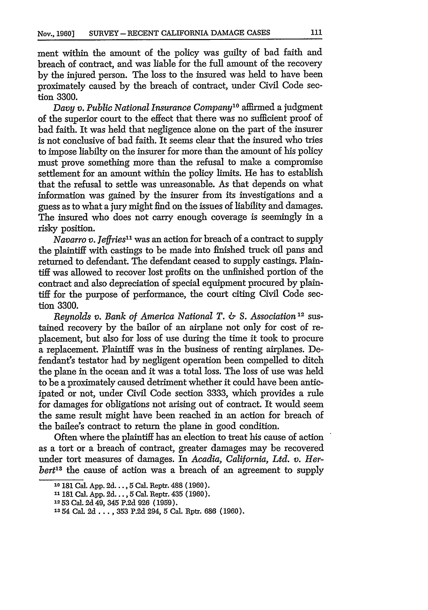ment within the amount of the policy was guilty of bad faith and breach of contract, and was liable for the full amount of the recovery by the injured person. The loss to the insured was held to have been proximately caused by the breach of contract, under Civil Code section 3300.

*Davy v. Public National Insurance Company'0* affirmed a judgment of the superior court to the effect that there was no sufficient proof of bad faith. It was held that negligence alone on the part of the insurer is not conclusive of bad faith. It seems clear that the insured who tries to impose liabilty on the insurer for more than the amount of his policy must prove something more than the refusal to make a compromise settlement for an amount within the policy limits. He has to establish that the refusal to settle was unreasonable. As that depends on what information was gained by the insurer from its investigations and a guess as to what a jury might find on the issues of liability and damages. The insured who does not carry enough coverage is seemingly in a risky position.

*Navarro v. Jeffries"* was an action for breach of a contract to supply the plaintiff with castings to be made into finished truck oil pans and returned to defendant. The defendant ceased to supply castings. Plaintiff was allowed to recover lost profits on the unfinished portion of the contract and also depreciation of special equipment procured by plaintiff for the purpose of performance, the court citing Civil Code section 3300.

*Reynolds v. Bank of America National T. & S. Association*<sup>12</sup> sustained recovery by the bailor of an airplane not only for cost of replacement, but also for loss of use during the time it took to procure a replacement. Plaintiff was in the business of renting airplanes. Defendant's testator had by negligent operation been compelled to ditch the plane in the ocean and it was a total loss. The loss of use was held to be a proximately caused detriment whether it could have been anticipated or not, under Civil Code section 3333, which provides a rule for damages for obligations not arising out of contract. It would seem the same result might have been reached in an action for breach of the bailee's contract to return the plane in good condition.

Often where the plaintiff has an election to treat his cause of action as a tort or a breach of contract, greater damages may be recovered under tort measures of damages. In *Acadia, California, Ltd. v. Herbert's* the cause of action was a breach of an agreement to supply

**<sup>10</sup>**181 Cal. App. 2d **... ,** 5 Cal. Reptr. 488 (1960).

<sup>&</sup>quot;1181 Cal. App. 2d..., 5 Cal. Reptr. 435 (1960). **12 53** Cal. 2d 49, 345 P.2d 926 (1959).

**<sup>13</sup>** 54 Cal. 2d .... 353 P.2d 294, 5 Cal. Rptr. 686 (1960).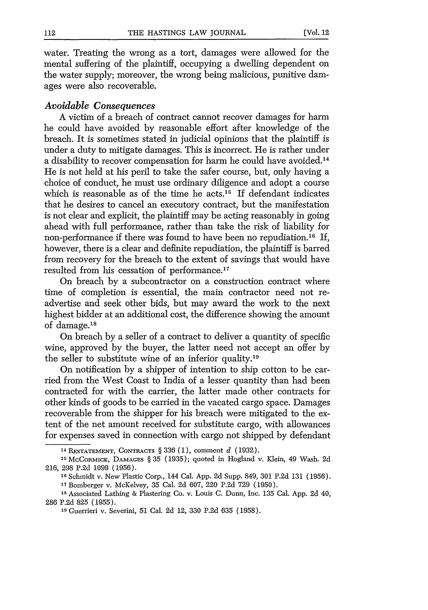water. Treating the wrong as a tort, damages were allowed for the mental suffering of the plaintiff, occupying a dwelling dependent on the water supply; moreover, the wrong being malicious, punitive damages were also recoverable.

#### *Avoidable Consequences*

A victim of a breach of contract cannot recover damages for harm he could have avoided by reasonable effort after knowledge of the breach. It is sometimes stated in judicial opinions that the plaintiff is under a duty to mitigate damages. This is incorrect. He is rather under a disability to recover compensation for harm he could have avoided.<sup>14</sup> He is not held at his peril to take the safer course, but, only having a choice of conduct, he must use ordinary diligence and adopt a course which is reasonable as of the time he acts.<sup>15</sup> If defendant indicates that he desires to cancel an executory contract, but the manifestation is not clear and explicit, the plaintiff may be acting reasonably in going ahead with full performance, rather than take the risk of liability for non-performance if there was found to have been no repudiation.<sup>16</sup> If, however, there is a clear and definite repudiation, the plaintiff is barred from recovery for the breach to the extent of savings that would have resulted from his cessation of performance.<sup>17</sup>

On breach by a subcontractor on a construction contract where time of completion is essential, the main contractor need not readvertise and seek other bids, but may award the work to the next highest bidder at an additional cost, the difference showing the amount of damage.<sup>18</sup>

On breach by a seller of a contract to deliver a quantity of specific wine, approved by the buyer, the latter need not accept an offer by the seller to substitute wine of an inferior quality.<sup>19</sup>

On notification by a shipper of intention to ship cotton to be carried from the West Coast to India of a lesser quantity than had been contracted for with the carrier, the latter made other contracts for other kinds of goods to be carried in the vacated cargo space. Damages recoverable from the shipper for his breach were mitigated to the extent of the net amount received for substitute cargo, with allowances for expenses saved in connection with cargo not shipped by defendant

<sup>14</sup> RESTATEMENT, **CONTRACTS** § 336 (1), comment *d* (1932).

**<sup>15</sup>**McCoRMICK, **DAMAGES** § 35 (1935); quoted in Hogland v. Klein, 49 Wash. 2d 216, 298 P.2d 1099 (1956).

**<sup>16</sup>**Schmidt v. New Plastic Corp., 144 Cal. App. 2d Supp. 849, 301 P.2d 131 (1956).

**<sup>17</sup>**Bomberger v. McKelvey, 35 Cal. 2d 607, 220 P.2d 729 (1950).

**<sup>18</sup>**Associated Lathing & Plastering Co. v. Louis C. *Dunn,* Inc. 135 Cal. App. 2d 40, 286 P.2d 825 (1955).

**<sup>19</sup>**Guerrieri v. Severini, 51 Cal. 2d 12, 330 P.2d 635 (1958).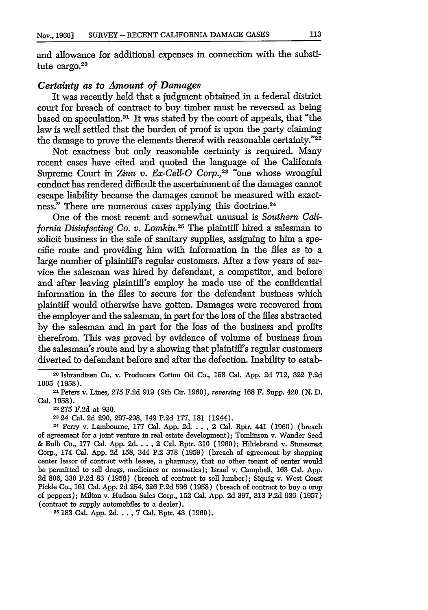and allowance for additional expenses in connection with the substitute cargo.<sup>20</sup>

#### *Certainty as to Amount of Damages*

It was recently held that a judgment obtained in a federal district court for breach of contract to buy timber must be reversed as being based on speculation.21 It was stated by the court of appeals, that "the law is well settled that the burden of proof is upon the party claiming the damage to prove the elements thereof with reasonable certainty."<sup>22</sup>

Not exactness but only reasonable certainty is required. Many recent cases have cited and quoted the language of the California Supreme Court in *Zinn v. Ex-Cell-O Corp.,23* "one whose wrongful conduct has rendered difficult the ascertainment of the damages cannot escape liability because the damages cannot be measured with exactness." There are numerous cases applying this doctrine.<sup>24</sup>

One of the most recent and somewhat unusual is *Southern California Disinfecting Co.* v. *Lomkin.25* The plaintiff hired a salesman to solicit business in the sale of sanitary supplies, assigning to him a specific route and providing him with information in the files as to a large number of plaintiffs regular customers. After a few years of service the salesman was hired by defendant, a competitor, and before and after leaving plaintiffs employ he made use of the confidential information in the files to secure for the defendant business which plaintiff would otherwise have gotten. Damages were recovered from the employer and the salesman, in part for the loss of the files abstracted by the salesman and in part for the loss of the business and profits therefrom. This was proved by evidence of volume of business from the salesman's route and by a showing that plaintiff's regular customers diverted to defendant before and after the defection. Inability to estab-

<sup>22</sup>**275** F.2d at 930.

**2324** Cal. 2d 290, 297-298, 149 P.2d 177, **181** (1944).

<sup>25</sup>**183** Cal. App. **2d.** . **. ,** 7 Cal. Rptr. 43 (1960).

<sup>2</sup>o Isbrandtsen Co. v. Producers Cotton Oil Co., 158 Cal. App. 2d 712, 322 P.2d 1005 (1958).

<sup>21</sup> Peters v. Lines, 275 F.2d 919 (9th Cir. 1960), *reversing* 168 F. Supp. 420 (N. D. Cal. 1958).

<sup>24</sup>Perry v. Lambourne, **177** Cal. App. 2d.... **,** 2 Cal. Rptr. 441 (1960) (breach of agreement for a joint venture in real estate development); Tomlinson v. Wander Seed & Bulb Co., **177** Cal. App. **2d..** . , 2 Cal. Rptr. 310 (1960); Hildebrand v. Stonecrest Corp., 174 Cal. App. 2d 158, 344 P.2 378 (1959) (breach of agreement **by** shopping center lessor of contract with lessee, a pharmacy, that no other tenant of center would be permitted to sell drugs, medicines or cosmetics); Israel v. Campbell, **163** Cal. App. **2d** 806, 330 P.2d 83 (1958) (breach of contract to sell lumber); Siquig v. West Coast Pickle Co., **161** Cal. App. **2d** 254, **326 P.2d 596** (1958) (breach of contract to buy a crop of peppers); Milton v. Hudson Sales Corp., **152** Cal. App. **2d** 397, 313 P.2d 936 (1957) (contract to supply automobiles to a dealer).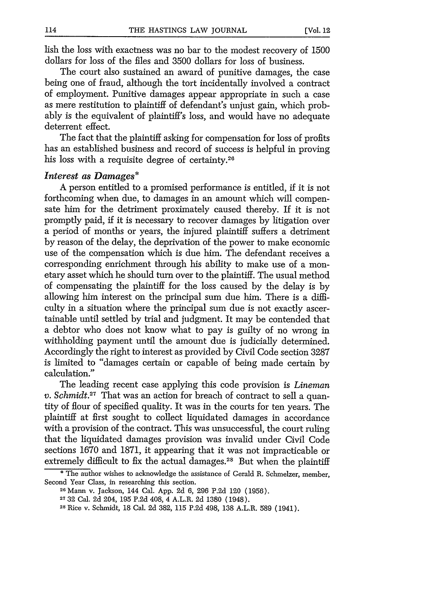lish the loss with exactness was no bar to the modest recovery of 1500 dollars for loss of the files and 3500 dollars for loss of business.

The court also sustained an award of punitive damages, the case being one of fraud, although the tort incidentally involved a contract of employment. Punitive damages appear appropriate in such a case as mere restitution to plaintiff of defendant's unjust gain, which probably is the equivalent of plaintiff's loss, and would have no adequate deterrent effect.

The fact that the plaintiff asking for compensation for loss of profits has an established business and record of success is helpful in proving his loss with a requisite degree of certainty.<sup>26</sup>

## *Interest as Damages\**

A person entitled to a promised performance is entitled, if it is not forthcoming when due, to damages in an amount which will compensate him for the detriment proximately caused thereby. If it is not promptly paid, if it is necessary to recover damages by litigation over a period of months or years, the injured plaintiff suffers a detriment by reason of the delay, the deprivation of the power to make economic use of the compensation which is due him. The defendant receives a corresponding enrichment through his ability to make use of a monetary asset which he should turn over to the plaintiff. The usual method of compensating the plaintiff for the loss caused by the delay is by allowing him interest on the principal sum due him. There is a difficulty in a situation where the principal sum due is not exactly ascertainable until settled by trial and judgment. It may be contended that a debtor who does not know what to pay is guilty of no wrong in withholding payment until the amount due is judicially determined. Accordingly the right to interest as provided by Civil Code section 3287 is limited to "damages certain or capable of being made certain by calculation."

The leading recent case applying this code provision is *Lineman v. Schmidt.*<sup>27</sup> That was an action for breach of contract to sell a quantity of flour of specified quality. It was in the courts for ten years. The plaintiff at first sought to collect liquidated damages in accordance with a provision of the contract. This was unsuccessful, the court ruling that the liquidated damages provision was invalid under Civil Code sections 1670 and 1871, it appearing that it was not impracticable or extremely difficult to fix the actual damages.<sup>28</sup> But when the plaintiff

<sup>\*</sup> The author wishes to acknowledge the assistance of Gerald R. Schmelzer, member, Second Year Class, in researching this section.

**<sup>26</sup>**Mann v. Jackson, 144 Cal. App. 2d 6, 296 P.2d 120 (1956).

**<sup>27</sup>**32 Cal. 2d 204, 195 P.2d 408, 4 A.L.R. 2d 1380 (1948).

**<sup>28</sup>**Rice v. Schmidt, 18 Cal. 2d 382, 115 P.2d 498, 138 A.L.R. 589 (1941).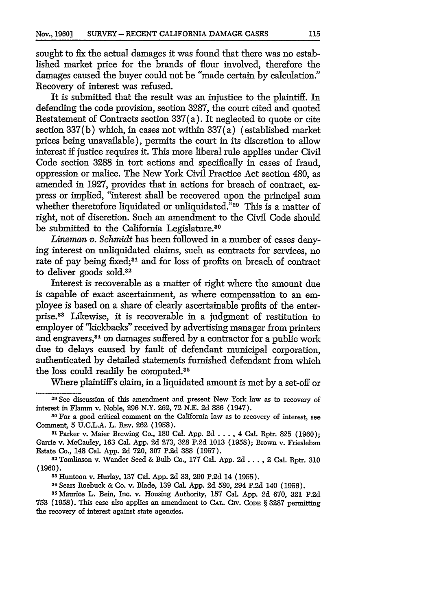sought to fix the actual damages it was found that there was no established market price for the brands of flour involved, therefore the damages caused the buyer could not be "made certain by calculation." Recovery of interest was refused.

It is submitted that the result was an injustice to the plaintiff. In defending the code provision, section 3287, the court cited and quoted Restatement of Contracts section 337(a). It neglected to quote or cite section 337(b) which, in cases not within 337(a) (established market prices being unavailable), permits the court in its discretion to allow interest if justice requires it. This more liberal rule applies under Civil Code section 3288 in tort actions and specifically in cases of fraud, oppression or malice. The New York Civil Practice Act section 480, as amended in 1927, provides that in actions for breach of contract, express or implied, "interest shall be recovered upon the principal sum whether theretofore liquidated or unliquidated."<sup>29</sup> This is a matter of right, not of discretion. Such an amendment to the Civil Code should be submitted to the California Legislature.<sup>30</sup>

*Lineman v. Schmidt* has been followed in a number of cases denying interest on unliquidated claims, such as contracts for services, no rate of pay being fixed;<sup>31</sup> and for loss of profits on breach of contract to deliver goods sold.<sup>32</sup>

Interest is recoverable as a matter of right where the amount due is capable of exact ascertainment, as where compensation to an employee is based on a share of clearly ascertainable profits of the enterprise.38 Likewise, it is recoverable in a judgment of restitution to employer of "kickbacks" received by advertising manager from printers and engravers,<sup>34</sup> on damages suffered by a contractor for a public work due to delays caused by fault of defendant municipal corporation, authenticated by detailed statements furnished defendant from which the loss could readily be computed.<sup>35</sup>

Where plaintiff's claim, in a liquidated amount is met by a set-off or

**<sup>4</sup>**Sears Roebuck & Co. v. Blade, 139 Cal. **App.** 2d 580, 294 P.2d 140 (1956). **<sup>3</sup>**

**5** Maurice L. Bein, Inc. v. Housing Authority, 157 Cal. **App.** 2d 670, 321 P.2d 753 (1958). This case also applies an amendment to CAL. Civ. **CODE** § 3287 permitting the recovery of interest against state agencies.

**<sup>29</sup>**See discussion of this amendment and present New York law as to recovery of interest in Flamm v. Noble, 296 N.Y. 262, 72 N.E. 2d 886 (1947).

**<sup>30</sup>**For a good critical comment on the California law as to recovery of interest, see Comment, 5 U.C.L.A. L. **REv.** 262 (1958).

<sup>31</sup>Parker v. Maier Brewing Co., 180 Cal. **App.** 2d **....** 4 Cal. Rptr. 825 (1960); Carrie v. McCauley, 163 Cal. **App.** 2d 273, 328 P.2d 1013 (1958); Brown v. Friesleban Estate Co., 148 Cal. **App.** 2d 720, 307 P.2d 388 (1957).

<sup>32</sup> Tomlinson v. Wander Seed & Bulb Co., 177 Cal. **App.** 2d... , 2 Cal. Rptr. 310 (1960).

**<sup>3</sup>S** Huntoon v. Hurlay, 137 Cal. **App.** 2d 33, **290** P.2d 14 (1955). **<sup>3</sup>**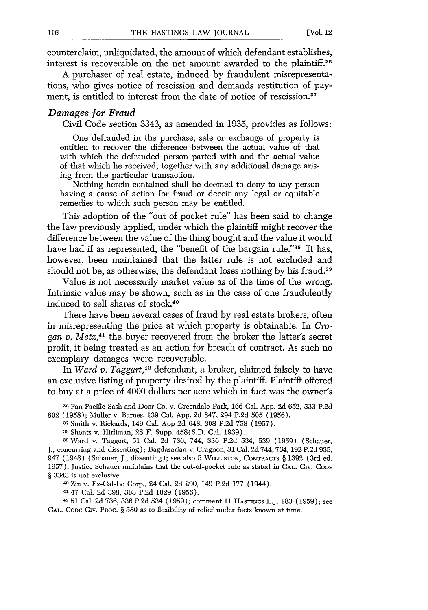counterclaim, unliquidated, the amount of which defendant establishes, interest is recoverable on the net amount awarded to the plaintiff.36

A purchaser of real estate, induced by fraudulent misrepresentations, who gives notice of rescission and demands restitution of payment, is entitled to interest from the date of notice of rescission.<sup>37</sup>

## *Damages for Fraud*

Civil Code section 3343, as amended in 1935, provides as follows:

One defrauded in the purchase, sale or exchange of property is entitled to recover the difference between the actual value of that with which the defrauded person parted with and the actual value of that which he received, together with any additional damage arising from the particular transaction.

Nothing herein contained shall be deemed to deny to any person having a cause of action for fraud or deceit any legal or equitable remedies to which such person may be entitled.

This adoption of the "out of pocket rule" has been said to change the law previously applied, under which the plaintiff might recover the difference between the value of the thing bought and the value it would have had **if** as represented, the "benefit of the bargain rule."38 It has, however, been maintained that the latter rule is not excluded and should not be, as otherwise, the defendant loses nothing by his fraud.<sup>39</sup>

Value is not necessarily market value as of the time of the wrong. Intrinsic value may be shown, such as in the case of one fraudulently induced to sell shares of stock.<sup>40</sup>

There have been several cases of fraud by real estate brokers, often in misrepresenting the price at which property is obtainable. In *Crogan v. Metz, <sup>41</sup>*the buyer recovered from the broker the latter's secret profit, it being treated as an action for breach of contract. As such no exemplary damages were recoverable.

In *Ward v. Taggart,42* defendant, a broker, claimed falsely to have an exclusive listing of property desired by the plaintiff. Plaintiff offered to buy at a price of 4000 dollars per acre which in fact was the owner's

**<sup>40</sup>**Zin v. Ex-Cal-Lo Corp., 24 Cal. 2d 290, 149 P.2d 177 (1944).

**41** 47 Cal. 2d 398, 303 P.2d 1029 (1956).

42 51 Cal. 2d 736, 336 P.2d 534 **(1959);** comment **11** HASTncs L.J. 183 (1959); see **CAL. CODE CIV.** PROC. § 580 as to flexibility of relief under facts known at time.

**<sup>36</sup>Pan** Pacific Sash and Door Co. v. Greendale Park, 166 Cal. App. 2d 652, 333 P.2d 802 (1958); Muller v. Barnes, 139 Cal. App. 2d 847, 294 **P.2d** 505 (1956).

**<sup>37</sup>**Smith v. Rickards, 149 Cal. App 2d 648, 308 P.2d 758 (1957).

<sup>38</sup> Shonts v. Hirliman, 28 F. Supp. 458(S.D. Cal. 1939).

<sup>&</sup>lt;sup>39</sup> Ward v. Taggert, 51 Cal. 2d 736, 744, 336 P.2d 534, 539 (1959) (Schauer, J., concurring and dissenting); Bagdasarian v. Gragnon, 31 Cal. 2d 744, 764, 192 P.2d 935, 947 (1948) (Schauer, J., dissenting); see also 5 **WILLISTON,** CONTRAcTs § 1392 (3rd ed. 1957). Justice Schauer maintains that the out-of-pocket rule as stated in **CAL. Civ. CODE** § 3343 is not exclusive.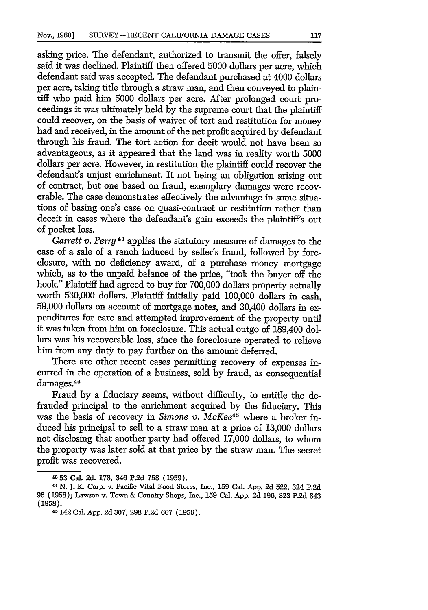asking price. The defendant, authorized to transmit the offer, falsely said it was declined. Plaintiff then offered 5000 dollars per acre, which defendant said was accepted. The defendant purchased at 4000 dollars per acre, taking title through a straw man, and then conveyed to plaintiff who paid him 5000 dollars per acre. After prolonged court proceedings it was ultimately held by the supreme court that the plaintiff could recover, on the basis of waiver of tort and restitution for money had and received, in the amount of the net profit acquired by defendant through his fraud. The tort action for decit would not have been so advantageous, as it appeared that the land was in reality worth 5000 dollars per acre. However, in restitution the plaintiff could recover the defendant's unjust enrichment. It not being an obligation arising out of contract, but one based on fraud, exemplary damages were recoverable. The case demonstrates effectively the advantage in some situations of basing one's case on quasi-contract or restitution rather than deceit in cases where the defendant's gain exceeds the plaintiff's out of pocket loss.

*Garrett v. Perry* 43 applies the statutory measure of damages to the case of a sale of a ranch induced by seller's fraud, followed by foreclosure, with no deficiency award, of a purchase money mortgage which, as to the unpaid balance of the price, "took the buyer off the hook." Plaintiff had agreed to buy for  $700,000$  dollars property actually worth 530,000 dollars. Plaintiff initially paid 100,000 dollars in cash, 59,000 dollars on account of mortgage notes, and 30,400 dollars in expenditures for care and attempted improvement of the property until it was taken from him on foreclosure. This actual outgo of 189,400 dollars was his recoverable loss, since the foreclosure operated to relieve him from any duty to pay further on the amount deferred.

There are other recent cases permitting recovery of expenses incurred in the operation of a business, sold by fraud, as consequential damages. <sup>44</sup>

Fraud by a fiduciary seems, without difficulty, to entitle the defrauded principal to the enrichment acquired by the fiduciary. This was the basis of recovery in *Simone v. McKee<sup>45</sup>* where a broker induced his principal to sell to a straw man at a price of 13,000 dollars not disclosing that another party had offered 17,000 dollars, to whom the property was later sold at that price by the straw man. The secret profit was recovered.

**<sup>43 53</sup>** Cal. 2d. 178, 346 P.2d 758 (1959).

<sup>44</sup> N. J. K. Corp. v. Pacific Vital Food Stores, Inc., **159** Cal. App. 2d 522, 324 P.2d 96 (1958); Lawson v. Town & Country Shops, Inc., **159** Cal. App. 2d 196, 323 P.2d 843 (1958).

<sup>45 142</sup> Cal. App. 2d 307, 298 P.2d 667 (1956).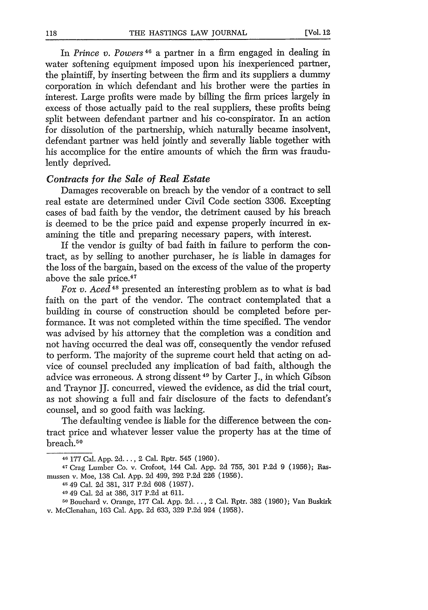In *Prince v. Powers*<sup>46</sup> a partner in a firm engaged in dealing in water softening equipment imposed upon his inexperienced partner, the plaintiff, by inserting between the firm and its suppliers a dummy corporation in which defendant and his brother were the parties in interest. Large profits were made by billing the firm prices largely in excess of those actually paid to the real suppliers, these profits being split between defendant partner and his co-conspirator. In an action for dissolution of the partnership, which naturally became insolvent, defendant partner was held jointly and severally liable together with his accomplice for the entire amounts of which the firm was fraudulently deprived.

#### *Contracts for the Sale of Real Estate*

Damages recoverable on breach by the vendor of a contract to sell real estate are determined under Civil Code section 3306. Excepting cases of bad faith by the vendor, the detriment caused by his breach is deemed to be the price paid and expense properly incurred in examining the title and preparing necessary papers, with interest.

If the vendor is guilty of bad faith in failure to perform the contract, as by selling to another purchaser, he is liable in damages for the loss of the bargain, based on the excess of the value of the property above the sale price.<sup>47</sup>

Fox v. Aced<sup>48</sup> presented an interesting problem as to what is bad faith on the part of the vendor. The contract contemplated that a building in course of construction should be completed before performance. It was not completed within the time specified. The vendor was advised by his attorney that the completion was a condition and not having occurred the deal was off, consequently the vendor refused to perform. The majority of the supreme court held that acting on advice of counsel precluded any implication of bad faith, although the advice was erroneous. A strong dissent 49 by Carter J., in which Gibson and Traynor JJ. concurred, viewed the evidence, as did the trial court, as not showing a full and fair disclosure of the facts to defendant's counsel, and so good faith was lacking.

The defaulting vendee is liable for the difference between the contract price and whatever lesser value the property has at the time of breach. <sup>50</sup>

<sup>46 177</sup> Cal. App. 2d..., 2 Cal. Rptr. 545 (1960).

<sup>47</sup> Crag Lumber Co. v. Crofoot, 144 Cal. App. 2d 755, 301 P.2d 9 (1956); Rasmussen v. Moe, 138 Cal. App. 2d 499, **292** P.2d 226 (1956).

**<sup>48</sup>** 49 Cal. 2d 381, 317 P.2d 608 (1957).

<sup>49 49</sup> Cal. 2d at 386, 317 P.2d at 611.

ro Bouehard v. Orange, 177 Cal. App. 2d..., 2 Cal. Rptr. 382 (1960); Van Buskirk v. McClenahan, 163 Cal. App. 2d 633, 329 P.2d 924 (1958).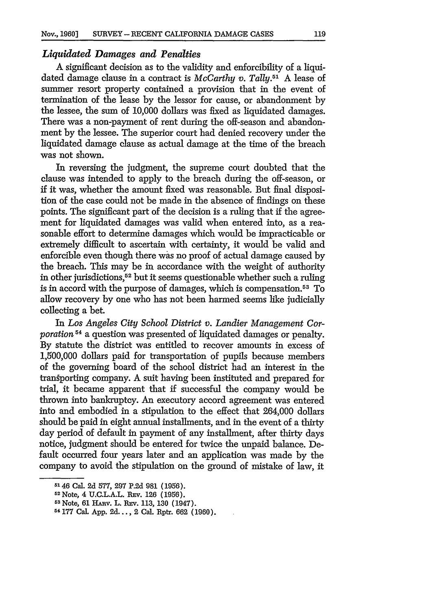## *Liquidated Damages and Penalties*

A significant decision as to the validity and enforcibility of a liquidated damage clause in a contract is *McCarthy v. Tally.51* A lease of summer resort property contained a provision that in the event of termination of the lease by the lessor for cause, or abandonment by the lessee, the sum of 10,000 dollars was fixed as liquidated damages. There was a non-payment of rent during the off-season and abandonment by the lessee. The superior court had denied recovery under the liquidated damage clause as actual damage at the time of the breach was not shown.

In reversing the judgment, the supreme court doubted that the clause was intended to apply to the breach during the off-season, or if it was, whether the amount fixed was reasonable. But final disposition of the case could not be made in the absence of findings on these points. The significant part of the decision is a ruling that if the agreement for liquidated damages was valid when entered into, as a reasonable effort to determine damages which would be impracticable or extremely difficult to ascertain with certainty, it would be valid and enforcible even though there was no proof of actual damage caused by the breach. This may be in accordance with the weight of authority in other jurisdictions,52 but it seems questionable whether such a ruling is in accord with the purpose of damages, which is compensation. 53 To allow recovery by one who has not been harmed seems like judicially collecting a bet.

In *Los Angeles City School District v. Landier Management Corporation* 54 a question was presented of liquidated damages or penalty. By statute the district was entitled to recover amounts in excess of 1,500,000 dollars paid for transportation of pupils because members of the governing board of the school district had an interest in the transporting company. A suit having been instituted and prepared for trial, it became apparent that if successful the company would be thrown into bankruptcy. An executory accord agreement was entered into and embodied in a stipulation to the effect that 264,000 dollars should be paid in eight annual installments, and in the event of a thirty day period of default in payment of any installment, after thirty days notice, judgment should be entered for twice the unpaid balance. Default occurred four years later and an application was made by the company to avoid the stipulation on the ground of mistake of law, it

<sup>51 46</sup> Cal. **2d 577, 297 P.2d 981 (1956).**

**<sup>5</sup> <sup>2</sup>**Note, 4 **U.C.L.A.L. REv. 126 (1956).**

**<sup>53</sup>**Note, **61 Hiv.** L. REv. **113, 130** (1947).

**<sup>5&#</sup>x27; 177 Cal. App. 2d...,** 2 Cal. Rptr. **662 (1960).**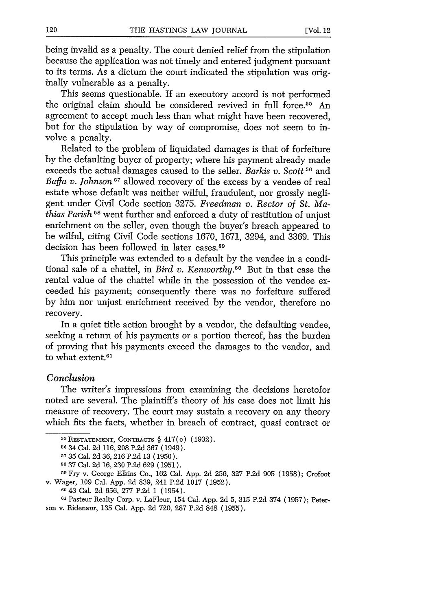being invalid as a penalty. The court denied relief from the stipulation because the application was not timely and entered judgment pursuant to its terms. As a dictum the court indicated the stipulation was originally vulnerable as a penalty.

This seems questionable. If an executory accord is not performed the original claim should be considered revived in full force.<sup>55</sup> An agreement to accept much less than what might have been recovered, but for the stipulation by way of compromise, does not seem to involve a penalty.

Related to the problem of liquidated damages is that of forfeiture by the defaulting buyer of property; where his payment already made exceeds the actual damages caused to the seller. *Barkis v. Scott 51* and *Baffa v. Johnson 57* allowed recovery of the excess by a vendee of real estate whose default was neither wilful, fraudulent, nor grossly negligent under Civil Code section 3275. *Freedman v. Rector of St. Mathias Parish*<sup>58</sup> went further and enforced a duty of restitution of unjust enrichment on the seller, even though the buyer's breach appeared to be wilful, citing Civil Code sections 1670, 1671, 3294, and 3369. This decision has been followed in later cases.<sup>59</sup>

This principle was extended to a default by the vendee in a conditional sale of a chattel, in *Bird v. Kenworthy.60* But in that case the rental value of the chattel while in the possession of the vendee exceeded his payment; consequently there was no forfeiture suffered by him nor unjust enrichment received by the vendor, therefore no recovery.

In a quiet title action brought by a vendor, the defaulting vendee, seeking a return of his payments or a portion thereof, has the burden of proving that his payments exceed the damages to the vendor, and to what extent.<sup>61</sup>

# *Conclusion*

The writer's impressions from examining the decisions heretofor noted are several. The plaintiff's theory of his case does not limit his measure of recovery. The court may sustain a recovery on any theory which fits the facts, whether in breach of contract, quasi contract or

**<sup>60</sup>**43 Cal. 2d 656, 277 P.2d 1 (1954).

**61** Pasteur Realty Corp. v. LaFleur, 154 Cal. App. 2d 5, 315 P.2d 374 (1957); Peterson v. Ridenaur, 135 Cal. App. 2d 720, 287 P.2d 848 (1955).

**<sup>55</sup>**RESTATEMENT, **CONTRACTS** § 417(c) (1932).

**<sup>56</sup>**34 Cal. 2d 116, 208 P.2d 367 (1949).

**<sup>57</sup>**35 Cal. 2d 36,216 P.2d 13 (1950).

**<sup>58 37</sup>** Cal. 2d 16, 230 P.2d 629 (1951). **<sup>5</sup> <sup>9</sup> Fry** v. George Elkins Co., 162 Cal. App. 2d 256, 327 P.2d 905 (1958); Crofoot v. Wager, 109 Cal. App. 2d 839, 241 P.2d 1017 (1952).